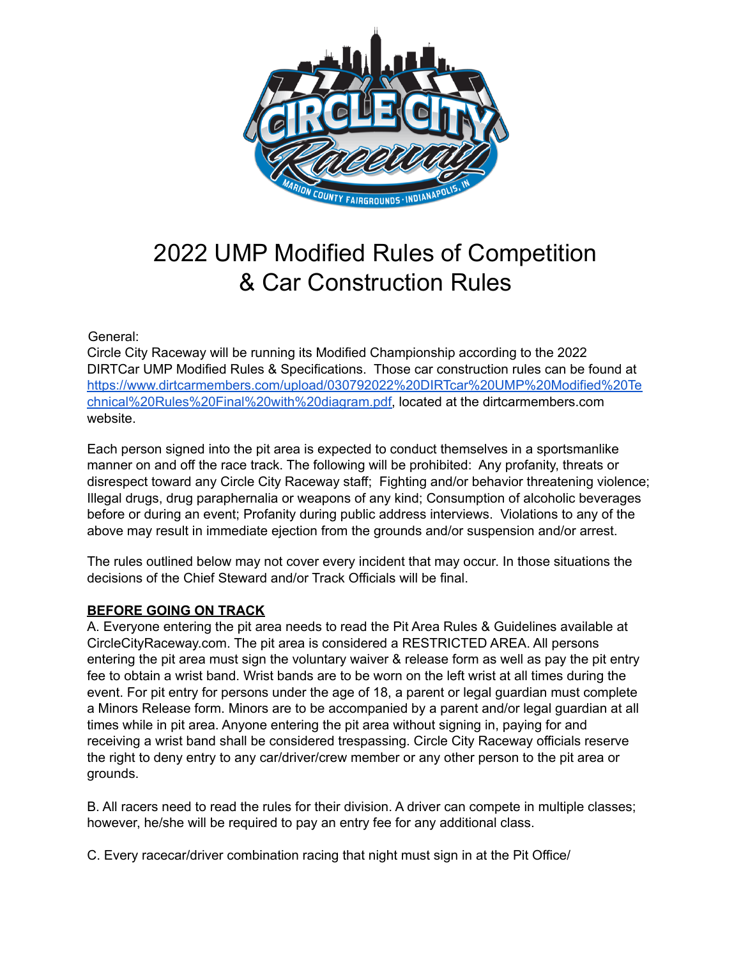

# 2022 UMP Modified Rules of Competition & Car Construction Rules

General:

Circle City Raceway will be running its Modified Championship according to the 2022 DIRTCar UMP Modified Rules & Specifications. Those car construction rules can be found at [https://www.dirtcarmembers.com/upload/030792022%20DIRTcar%20UMP%20Modified%20Te](https://www.dirtcarmembers.com/upload/030792022%20DIRTcar%20UMP%20Modified%20Technical%20Rules%20Final%20with%20diagram.pdf) [chnical%20Rules%20Final%20with%20diagram.pdf](https://www.dirtcarmembers.com/upload/030792022%20DIRTcar%20UMP%20Modified%20Technical%20Rules%20Final%20with%20diagram.pdf), located at the dirtcarmembers.com website.

Each person signed into the pit area is expected to conduct themselves in a sportsmanlike manner on and off the race track. The following will be prohibited: Any profanity, threats or disrespect toward any Circle City Raceway staff; Fighting and/or behavior threatening violence; Illegal drugs, drug paraphernalia or weapons of any kind; Consumption of alcoholic beverages before or during an event; Profanity during public address interviews. Violations to any of the above may result in immediate ejection from the grounds and/or suspension and/or arrest.

The rules outlined below may not cover every incident that may occur. In those situations the decisions of the Chief Steward and/or Track Officials will be final.

## **BEFORE GOING ON TRACK**

A. Everyone entering the pit area needs to read the Pit Area Rules & Guidelines available at CircleCityRaceway.com. The pit area is considered a RESTRICTED AREA. All persons entering the pit area must sign the voluntary waiver & release form as well as pay the pit entry fee to obtain a wrist band. Wrist bands are to be worn on the left wrist at all times during the event. For pit entry for persons under the age of 18, a parent or legal guardian must complete a Minors Release form. Minors are to be accompanied by a parent and/or legal guardian at all times while in pit area. Anyone entering the pit area without signing in, paying for and receiving a wrist band shall be considered trespassing. Circle City Raceway officials reserve the right to deny entry to any car/driver/crew member or any other person to the pit area or grounds.

B. All racers need to read the rules for their division. A driver can compete in multiple classes; however, he/she will be required to pay an entry fee for any additional class.

C. Every racecar/driver combination racing that night must sign in at the Pit Office/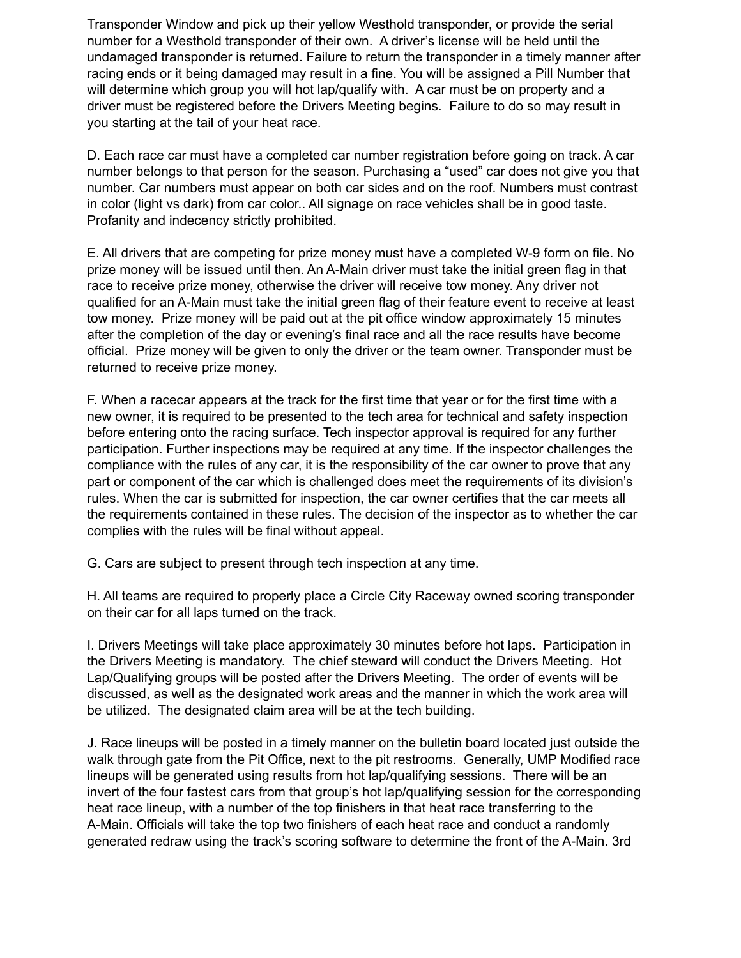Transponder Window and pick up their yellow Westhold transponder, or provide the serial number for a Westhold transponder of their own. A driver's license will be held until the undamaged transponder is returned. Failure to return the transponder in a timely manner after racing ends or it being damaged may result in a fine. You will be assigned a Pill Number that will determine which group you will hot lap/qualify with. A car must be on property and a driver must be registered before the Drivers Meeting begins. Failure to do so may result in you starting at the tail of your heat race.

D. Each race car must have a completed car number registration before going on track. A car number belongs to that person for the season. Purchasing a "used" car does not give you that number. Car numbers must appear on both car sides and on the roof. Numbers must contrast in color (light vs dark) from car color.. All signage on race vehicles shall be in good taste. Profanity and indecency strictly prohibited.

E. All drivers that are competing for prize money must have a completed W-9 form on file. No prize money will be issued until then. An A-Main driver must take the initial green flag in that race to receive prize money, otherwise the driver will receive tow money. Any driver not qualified for an A-Main must take the initial green flag of their feature event to receive at least tow money. Prize money will be paid out at the pit office window approximately 15 minutes after the completion of the day or evening's final race and all the race results have become official. Prize money will be given to only the driver or the team owner. Transponder must be returned to receive prize money.

F. When a racecar appears at the track for the first time that year or for the first time with a new owner, it is required to be presented to the tech area for technical and safety inspection before entering onto the racing surface. Tech inspector approval is required for any further participation. Further inspections may be required at any time. If the inspector challenges the compliance with the rules of any car, it is the responsibility of the car owner to prove that any part or component of the car which is challenged does meet the requirements of its division's rules. When the car is submitted for inspection, the car owner certifies that the car meets all the requirements contained in these rules. The decision of the inspector as to whether the car complies with the rules will be final without appeal.

G. Cars are subject to present through tech inspection at any time.

H. All teams are required to properly place a Circle City Raceway owned scoring transponder on their car for all laps turned on the track.

I. Drivers Meetings will take place approximately 30 minutes before hot laps. Participation in the Drivers Meeting is mandatory. The chief steward will conduct the Drivers Meeting. Hot Lap/Qualifying groups will be posted after the Drivers Meeting. The order of events will be discussed, as well as the designated work areas and the manner in which the work area will be utilized. The designated claim area will be at the tech building.

J. Race lineups will be posted in a timely manner on the bulletin board located just outside the walk through gate from the Pit Office, next to the pit restrooms. Generally, UMP Modified race lineups will be generated using results from hot lap/qualifying sessions. There will be an invert of the four fastest cars from that group's hot lap/qualifying session for the corresponding heat race lineup, with a number of the top finishers in that heat race transferring to the A-Main. Officials will take the top two finishers of each heat race and conduct a randomly generated redraw using the track's scoring software to determine the front of the A-Main. 3rd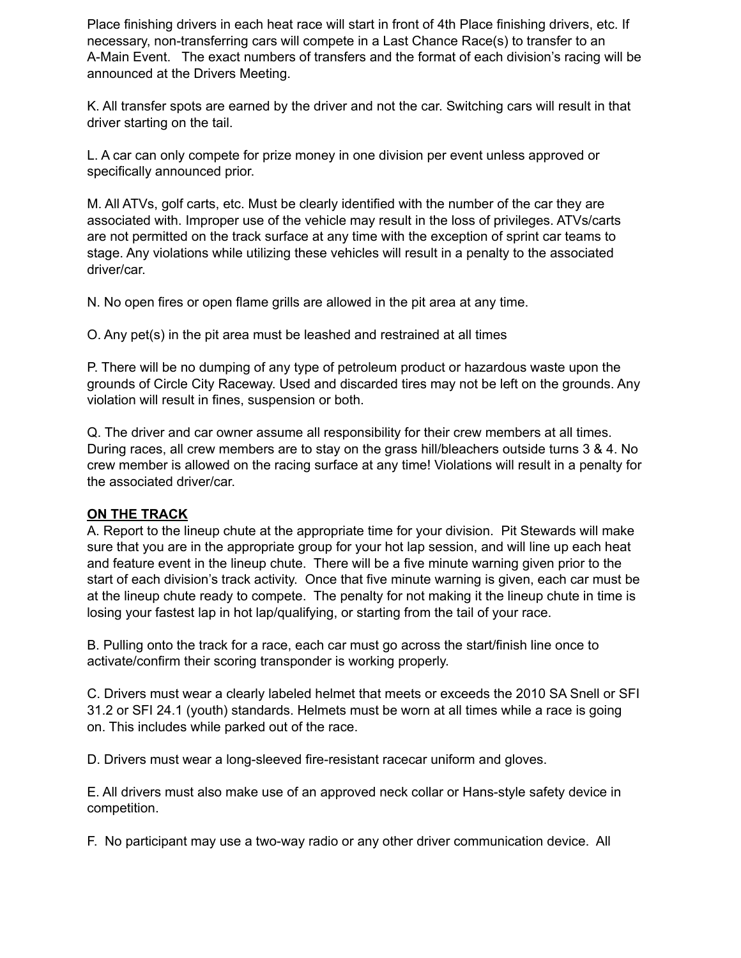Place finishing drivers in each heat race will start in front of 4th Place finishing drivers, etc. If necessary, non-transferring cars will compete in a Last Chance Race(s) to transfer to an A-Main Event. The exact numbers of transfers and the format of each division's racing will be announced at the Drivers Meeting.

K. All transfer spots are earned by the driver and not the car. Switching cars will result in that driver starting on the tail.

L. A car can only compete for prize money in one division per event unless approved or specifically announced prior.

M. All ATVs, golf carts, etc. Must be clearly identified with the number of the car they are associated with. Improper use of the vehicle may result in the loss of privileges. ATVs/carts are not permitted on the track surface at any time with the exception of sprint car teams to stage. Any violations while utilizing these vehicles will result in a penalty to the associated driver/car.

N. No open fires or open flame grills are allowed in the pit area at any time.

O. Any pet(s) in the pit area must be leashed and restrained at all times

P. There will be no dumping of any type of petroleum product or hazardous waste upon the grounds of Circle City Raceway. Used and discarded tires may not be left on the grounds. Any violation will result in fines, suspension or both.

Q. The driver and car owner assume all responsibility for their crew members at all times. During races, all crew members are to stay on the grass hill/bleachers outside turns 3 & 4. No crew member is allowed on the racing surface at any time! Violations will result in a penalty for the associated driver/car.

### **ON THE TRACK**

A. Report to the lineup chute at the appropriate time for your division. Pit Stewards will make sure that you are in the appropriate group for your hot lap session, and will line up each heat and feature event in the lineup chute. There will be a five minute warning given prior to the start of each division's track activity. Once that five minute warning is given, each car must be at the lineup chute ready to compete. The penalty for not making it the lineup chute in time is losing your fastest lap in hot lap/qualifying, or starting from the tail of your race.

B. Pulling onto the track for a race, each car must go across the start/finish line once to activate/confirm their scoring transponder is working properly.

C. Drivers must wear a clearly labeled helmet that meets or exceeds the 2010 SA Snell or SFI 31.2 or SFI 24.1 (youth) standards. Helmets must be worn at all times while a race is going on. This includes while parked out of the race.

D. Drivers must wear a long-sleeved fire-resistant racecar uniform and gloves.

E. All drivers must also make use of an approved neck collar or Hans-style safety device in competition.

F. No participant may use a two-way radio or any other driver communication device. All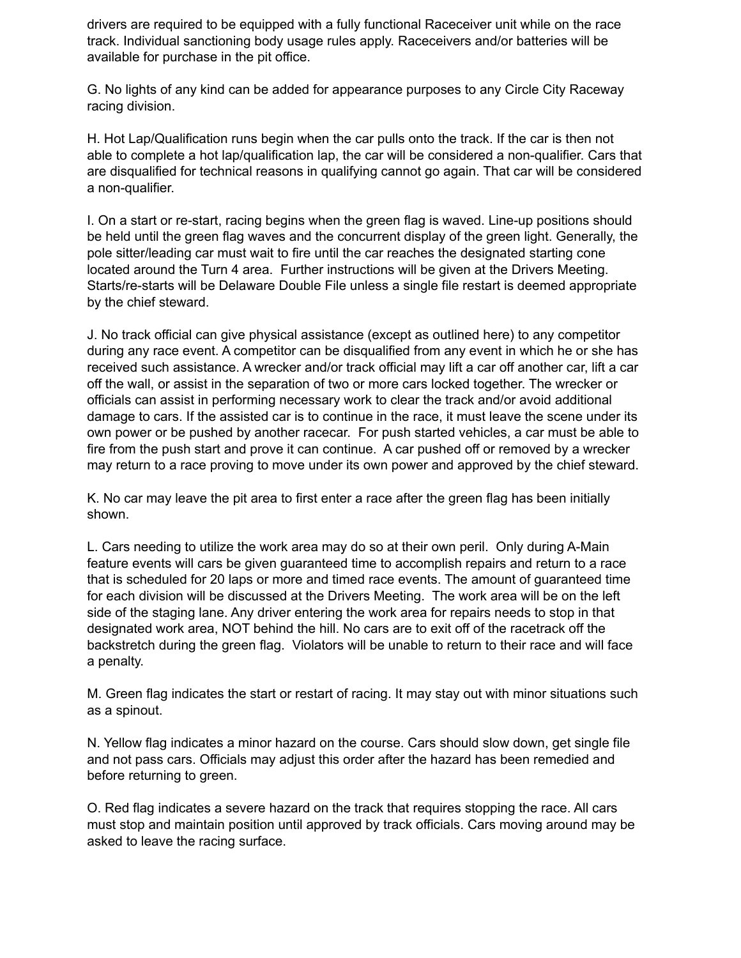drivers are required to be equipped with a fully functional Raceceiver unit while on the race track. Individual sanctioning body usage rules apply. Raceceivers and/or batteries will be available for purchase in the pit office.

G. No lights of any kind can be added for appearance purposes to any Circle City Raceway racing division.

H. Hot Lap/Qualification runs begin when the car pulls onto the track. If the car is then not able to complete a hot lap/qualification lap, the car will be considered a non-qualifier. Cars that are disqualified for technical reasons in qualifying cannot go again. That car will be considered a non-qualifier.

I. On a start or re-start, racing begins when the green flag is waved. Line-up positions should be held until the green flag waves and the concurrent display of the green light. Generally, the pole sitter/leading car must wait to fire until the car reaches the designated starting cone located around the Turn 4 area. Further instructions will be given at the Drivers Meeting. Starts/re-starts will be Delaware Double File unless a single file restart is deemed appropriate by the chief steward.

J. No track official can give physical assistance (except as outlined here) to any competitor during any race event. A competitor can be disqualified from any event in which he or she has received such assistance. A wrecker and/or track official may lift a car off another car, lift a car off the wall, or assist in the separation of two or more cars locked together. The wrecker or officials can assist in performing necessary work to clear the track and/or avoid additional damage to cars. If the assisted car is to continue in the race, it must leave the scene under its own power or be pushed by another racecar. For push started vehicles, a car must be able to fire from the push start and prove it can continue. A car pushed off or removed by a wrecker may return to a race proving to move under its own power and approved by the chief steward.

K. No car may leave the pit area to first enter a race after the green flag has been initially shown.

L. Cars needing to utilize the work area may do so at their own peril. Only during A-Main feature events will cars be given guaranteed time to accomplish repairs and return to a race that is scheduled for 20 laps or more and timed race events. The amount of guaranteed time for each division will be discussed at the Drivers Meeting. The work area will be on the left side of the staging lane. Any driver entering the work area for repairs needs to stop in that designated work area, NOT behind the hill. No cars are to exit off of the racetrack off the backstretch during the green flag. Violators will be unable to return to their race and will face a penalty.

M. Green flag indicates the start or restart of racing. It may stay out with minor situations such as a spinout.

N. Yellow flag indicates a minor hazard on the course. Cars should slow down, get single file and not pass cars. Officials may adjust this order after the hazard has been remedied and before returning to green.

O. Red flag indicates a severe hazard on the track that requires stopping the race. All cars must stop and maintain position until approved by track officials. Cars moving around may be asked to leave the racing surface.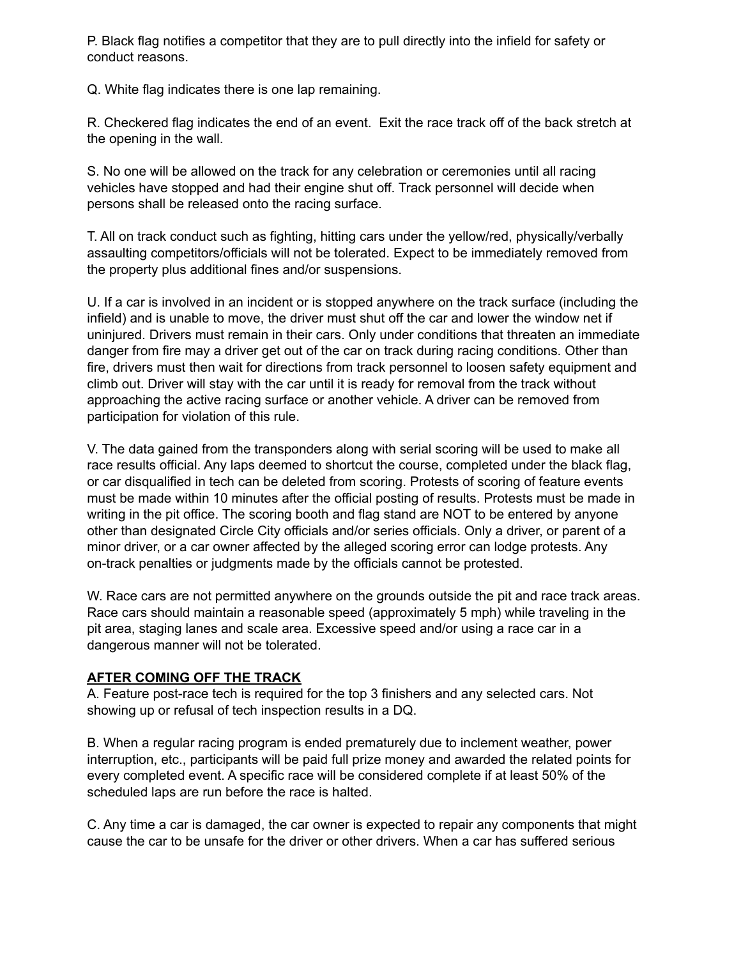P. Black flag notifies a competitor that they are to pull directly into the infield for safety or conduct reasons.

Q. White flag indicates there is one lap remaining.

R. Checkered flag indicates the end of an event. Exit the race track off of the back stretch at the opening in the wall.

S. No one will be allowed on the track for any celebration or ceremonies until all racing vehicles have stopped and had their engine shut off. Track personnel will decide when persons shall be released onto the racing surface.

T. All on track conduct such as fighting, hitting cars under the yellow/red, physically/verbally assaulting competitors/officials will not be tolerated. Expect to be immediately removed from the property plus additional fines and/or suspensions.

U. If a car is involved in an incident or is stopped anywhere on the track surface (including the infield) and is unable to move, the driver must shut off the car and lower the window net if uninjured. Drivers must remain in their cars. Only under conditions that threaten an immediate danger from fire may a driver get out of the car on track during racing conditions. Other than fire, drivers must then wait for directions from track personnel to loosen safety equipment and climb out. Driver will stay with the car until it is ready for removal from the track without approaching the active racing surface or another vehicle. A driver can be removed from participation for violation of this rule.

V. The data gained from the transponders along with serial scoring will be used to make all race results official. Any laps deemed to shortcut the course, completed under the black flag, or car disqualified in tech can be deleted from scoring. Protests of scoring of feature events must be made within 10 minutes after the official posting of results. Protests must be made in writing in the pit office. The scoring booth and flag stand are NOT to be entered by anyone other than designated Circle City officials and/or series officials. Only a driver, or parent of a minor driver, or a car owner affected by the alleged scoring error can lodge protests. Any on-track penalties or judgments made by the officials cannot be protested.

W. Race cars are not permitted anywhere on the grounds outside the pit and race track areas. Race cars should maintain a reasonable speed (approximately 5 mph) while traveling in the pit area, staging lanes and scale area. Excessive speed and/or using a race car in a dangerous manner will not be tolerated.

### **AFTER COMING OFF THE TRACK**

A. Feature post-race tech is required for the top 3 finishers and any selected cars. Not showing up or refusal of tech inspection results in a DQ.

B. When a regular racing program is ended prematurely due to inclement weather, power interruption, etc., participants will be paid full prize money and awarded the related points for every completed event. A specific race will be considered complete if at least 50% of the scheduled laps are run before the race is halted.

C. Any time a car is damaged, the car owner is expected to repair any components that might cause the car to be unsafe for the driver or other drivers. When a car has suffered serious